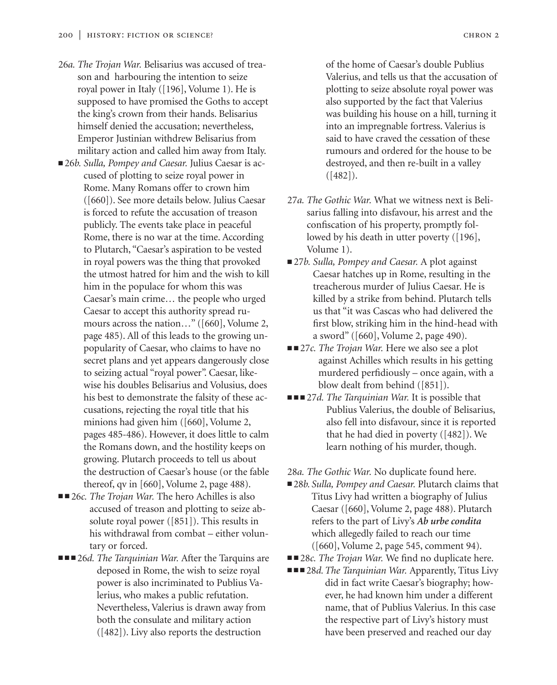- 26*a. The Trojan War.* Belisarius was accused of treason and harbouring the intention to seize royal power in Italy ([196], Volume 1). He is supposed to have promised the Goths to accept the king's crown from their hands. Belisarius himself denied the accusation; nevertheless, Emperor Justinian withdrew Belisarius from military action and called him away from Italy.
- 26*b. Sulla, Pompey and Caesar.* Julius Caesar is accused of plotting to seize royal power in Rome. Many Romans offer to crown him ([660]). See more details below. Julius Caesar is forced to refute the accusation of treason publicly. The events take place in peaceful Rome, there is no war at the time. According to Plutarch, "Caesar's aspiration to be vested in royal powers was the thing that provoked the utmost hatred for him and the wish to kill him in the populace for whom this was Caesar's main crime… the people who urged Caesar to accept this authority spread rumours across the nation…" ([660], Volume 2, page 485). All of this leads to the growing unpopularity of Caesar, who claims to have no secret plans and yet appears dangerously close to seizing actual "royal power". Caesar, likewise his doubles Belisarius and Volusius, does his best to demonstrate the falsity of these accusations, rejecting the royal title that his minions had given him ([660], Volume 2, pages 485-486). However, it does little to calm the Romans down, and the hostility keeps on growing. Plutarch proceeds to tell us about the destruction of Caesar's house (or the fable thereof, qv in [660], Volume 2, page 488).
- ■■ 26*c. The Trojan War*. The hero Achilles is also accused of treason and plotting to seize absolute royal power ([851]). This results in his withdrawal from combat – either voluntary or forced.
- ■ 26*d. The Tarquinian War.* After the Tarquins are deposed in Rome, the wish to seize royal power is also incriminated to Publius Valerius, who makes a public refutation. Nevertheless, Valerius is drawn away from both the consulate and military action ([482]). Livy also reports the destruction

of the home of Caesar's double Publius Valerius, and tells us that the accusation of plotting to seize absolute royal power was also supported by the fact that Valerius was building his house on a hill, turning it into an impregnable fortress. Valerius is said to have craved the cessation of these rumours and ordered for the house to be destroyed, and then re-built in a valley  $([482])$ .

- 27*a. The Gothic War.* What we witness next is Belisarius falling into disfavour, his arrest and the confiscation of his property, promptly followed by his death in utter poverty ([196], Volume 1).
- 27*b. Sulla, Pompey and Caesar.* A plot against Caesar hatches up in Rome, resulting in the treacherous murder of Julius Caesar. He is killed by a strike from behind. Plutarch tells us that "it was Cascas who had delivered the first blow, striking him in the hind-head with a sword" ([660], Volume 2, page 490).
- ■■ 27*c. The Trojan War*. Here we also see a plot against Achilles which results in his getting murdered perfidiously – once again, with a blow dealt from behind ([851]).
- ■■■ 27*d. The Tarquinian War.* It is possible that Publius Valerius, the double of Belisarius, also fell into disfavour, since it is reported that he had died in poverty ([482]). We learn nothing of his murder, though.

28*a. The Gothic War.* No duplicate found here.

- 28*b. Sulla, Pompey and Caesar.* Plutarch claims that Titus Livy had written a biography of Julius Caesar ([660], Volume 2, page 488). Plutarch refers to the part of Livy's *Ab urbe condita* which allegedly failed to reach our time ([660], Volume 2, page 545, comment 94).
- ■■ 28*c. The Trojan War*. We find no duplicate here.
- ■■■ 28*d. The Tarquinian War. Apparently, Titus Livy* did in fact write Caesar's biography; however, he had known him under a different name, that of Publius Valerius. In this case the respective part of Livy's history must have been preserved and reached our day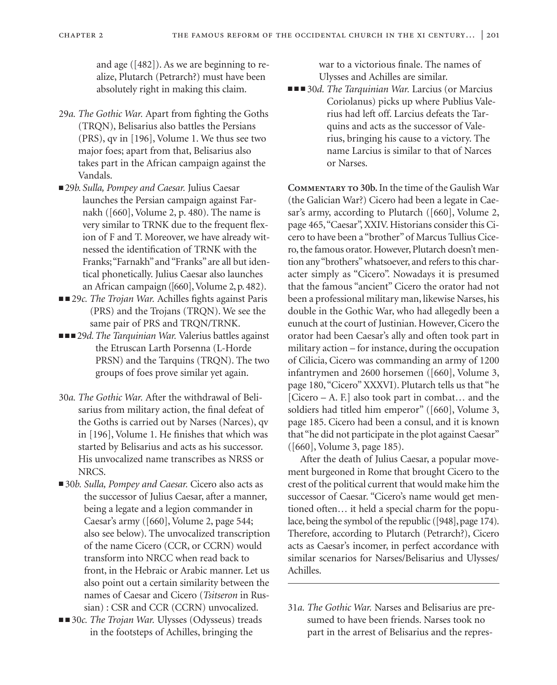and age ([482]). As we are beginning to realize, Plutarch (Petrarch?) must have been absolutely right in making this claim.

- 29*a. The Gothic War.* Apart from fighting the Goths (TRQN), Belisarius also battles the Persians (PRS), qv in [196], Volume 1. We thus see two major foes; apart from that, Belisarius also takes part in the African campaign against the Vandals.
- 29*b. Sulla, Pompey and Caesar*. Julius Caesar launches the Persian campaign against Farnakh ([660], Volume 2, p. 480). The name is very similar to TRNK due to the frequent flexion of F and T. Moreover, we have already witnessed the identification of TRNK with the Franks;"Farnakh"and "Franks"are all but identical phonetically. Julius Caesar also launches an African campaign ([660], Volume 2, p. 482).
- ■■ 29*c. The Trojan War*. Achilles fights against Paris (PRS) and the Trojans (TRQN). We see the same pair of PRS and TRQN/TRNK.
- ■ 29*d. The Tarquinian War.* Valerius battles against the Etruscan Larth Porsenna (L-Horde PRSN) and the Tarquins (TRQN). The two groups of foes prove similar yet again.
- 30*a. The Gothic War.* After the withdrawal of Belisarius from military action, the final defeat of the Goths is carried out by Narses (Narces), qv in [196], Volume 1. He finishes that which was started by Belisarius and acts as his successor. His unvocalized name transcribes as NRSS or NRCS.
- 30*b. Sulla, Pompey and Caesar.* Cicero also acts as the successor of Julius Caesar, after a manner, being a legate and a legion commander in Caesar's army ([660], Volume 2, page 544; also see below). The unvocalized transcription of the name Cicero (CCR, or CCRN) would transform into NRCC when read back to front, in the Hebraic or Arabic manner. Let us also point out a certain similarity between the names of Caesar and Cicero (*Tsitseron* in Russian) : CSR and CCR (CCRN) unvocalized.
- ■■ 30*c. The Trojan War*. Ulysses (Odysseus) treads in the footsteps of Achilles, bringing the

war to a victorious finale. The names of Ulysses and Achilles are similar.

■ ■ ■ 30*d. The Tarquinian War.* Larcius (or Marcius Coriolanus) picks up where Publius Valerius had left off. Larcius defeats the Tarquins and acts as the successor of Valerius, bringing his cause to a victory. The name Larcius is similar to that of Narces or Narses.

**Commentary to 30b.**In the time of the Gaulish War (the Galician War?) Cicero had been a legate in Caesar's army, according to Plutarch ([660], Volume 2, page 465,"Caesar", XXIV. Historians consider this Cicero to have been a "brother" of Marcus Tullius Cicero, the famous orator. However, Plutarch doesn't mention any "brothers"whatsoever, and refers to this character simply as "Cicero". Nowadays it is presumed that the famous "ancient" Cicero the orator had not been a professional military man, likewise Narses, his double in the Gothic War, who had allegedly been a eunuch at the court of Justinian. However, Cicero the orator had been Caesar's ally and often took part in military action – for instance, during the occupation of Cilicia, Cicero was commanding an army of 1200 infantrymen and 2600 horsemen ([660], Volume 3, page 180, "Cicero" XXXVI). Plutarch tells us that "he [Cicero – A. F.] also took part in combat… and the soldiers had titled him emperor" ([660], Volume 3, page 185. Cicero had been a consul, and it is known that "he did not participate in the plot against Caesar" ([660], Volume 3, page 185).

After the death of Julius Caesar, a popular movement burgeoned in Rome that brought Cicero to the crest of the political current that would make him the successor of Caesar. "Cicero's name would get mentioned often… it held a special charm for the populace, being the symbol of the republic ([948], page 174). Therefore, according to Plutarch (Petrarch?), Cicero acts as Caesar's incomer, in perfect accordance with similar scenarios for Narses/Belisarius and Ulysses/ Achilles.

31*a. The Gothic War.* Narses and Belisarius are presumed to have been friends. Narses took no part in the arrest of Belisarius and the repres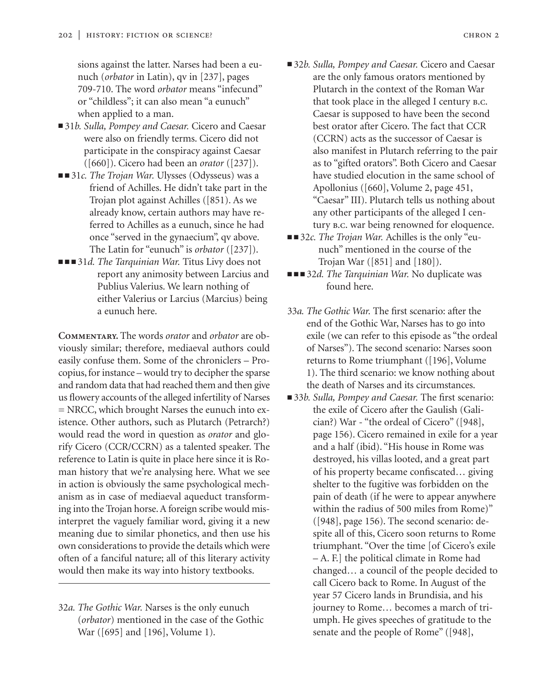sions against the latter. Narses had been a eunuch (*orbator* in Latin), qv in [237], pages 709-710. The word *orbator* means "infecund" or "childless"; it can also mean "a eunuch" when applied to a man.

- 31*b. Sulla, Pompey and Caesar.* Cicero and Caesar were also on friendly terms. Cicero did not participate in the conspiracy against Caesar ([660]). Cicero had been an *orator* ([237]).
- ■■ 31*c. The Trojan War*. Ulysses (Odysseus) was a friend of Achilles. He didn't take part in the Trojan plot against Achilles ([851). As we already know, certain authors may have referred to Achilles as a eunuch, since he had once "served in the gynaecium", qv above. The Latin for "eunuch" is *orbator* ([237]).
- ■■■ 31*d. The Tarquinian War*. Titus Livy does not report any animosity between Larcius and Publius Valerius. We learn nothing of either Valerius or Larcius (Marcius) being a eunuch here.

**Commentary.** The words *orator* and *orbator* are obviously similar; therefore, mediaeval authors could easily confuse them. Some of the chroniclers – Procopius, for instance – would try to decipher the sparse and random data that had reached them and then give us flowery accounts of the alleged infertility of Narses = NRCC, which brought Narses the eunuch into existence. Other authors, such as Plutarch (Petrarch?) would read the word in question as *orator* and glorify Cicero (CCR/CCRN) as a talented speaker. The reference to Latin is quite in place here since it is Roman history that we're analysing here. What we see in action is obviously the same psychological mechanism as in case of mediaeval aqueduct transforming into the Trojan horse. A foreign scribe would misinterpret the vaguely familiar word, giving it a new meaning due to similar phonetics, and then use his own considerations to provide the details which were often of a fanciful nature; all of this literary activity would then make its way into history textbooks.

32*a. The Gothic War.* Narses is the only eunuch (*orbator*) mentioned in the case of the Gothic War ([695] and [196], Volume 1).

- 32*b. Sulla, Pompey and Caesar.* Cicero and Caesar are the only famous orators mentioned by Plutarch in the context of the Roman War that took place in the alleged I century b.c. Caesar is supposed to have been the second best orator after Cicero. The fact that CCR (CCRN) acts as the successor of Caesar is also manifest in Plutarch referring to the pair as to "gifted orators". Both Cicero and Caesar have studied elocution in the same school of Apollonius ([660], Volume 2, page 451, "Caesar" III). Plutarch tells us nothing about any other participants of the alleged I century b.c. war being renowned for eloquence.
- ■■ 32*c. The Trojan War.* Achilles is the only "eunuch" mentioned in the course of the Trojan War ([851] and [180]).
- ■■■ 32*d. The Tarquinian War*. No duplicate was found here.

33*a. The Gothic War.* The first scenario: after the end of the Gothic War, Narses has to go into exile (we can refer to this episode as "the ordeal of Narses"). The second scenario: Narses soon returns to Rome triumphant ([196], Volume 1). The third scenario: we know nothing about the death of Narses and its circumstances.

■ 33*b. Sulla, Pompey and Caesar.* The first scenario: the exile of Cicero after the Gaulish (Galician?) War - "the ordeal of Cicero" ([948], page 156). Cicero remained in exile for a year and a half (ibid). "His house in Rome was destroyed, his villas looted, and a great part of his property became confiscated… giving shelter to the fugitive was forbidden on the pain of death (if he were to appear anywhere within the radius of 500 miles from Rome)" ([948], page 156). The second scenario: despite all of this, Cicero soon returns to Rome triumphant. "Over the time [of Cicero's exile – A. F.] the political climate in Rome had changed… a council of the people decided to call Cicero back to Rome. In August of the year 57 Cicero lands in Brundisia, and his journey to Rome… becomes a march of triumph. He gives speeches of gratitude to the senate and the people of Rome" ([948],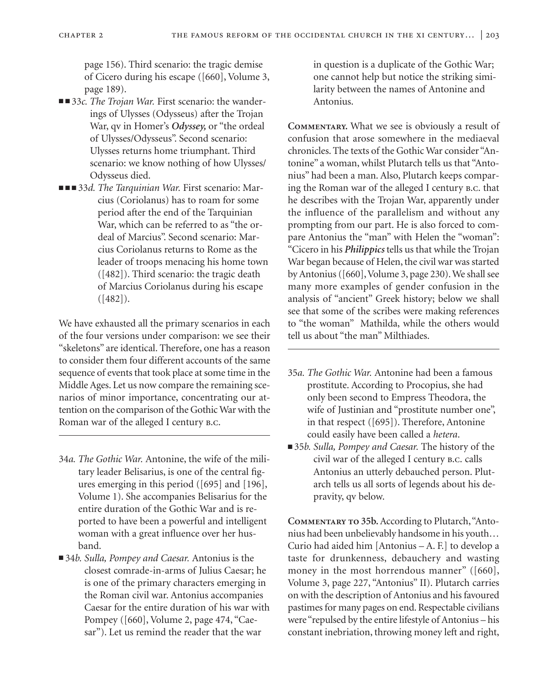page 156). Third scenario: the tragic demise of Cicero during his escape ([660], Volume 3, page 189).

- ■■ 33*c. The Trojan War*. First scenario: the wanderings of Ulysses (Odysseus) after the Trojan War, qv in Homer's *Odyssey,* or "the ordeal of Ulysses/Odysseus". Second scenario: Ulysses returns home triumphant. Third scenario: we know nothing of how Ulysses/ Odysseus died.
- ■■■ 33*d. The Tarquinian War*. First scenario: Marcius (Coriolanus) has to roam for some period after the end of the Tarquinian War, which can be referred to as "the ordeal of Marcius". Second scenario: Marcius Coriolanus returns to Rome as the leader of troops menacing his home town ([482]). Third scenario: the tragic death of Marcius Coriolanus during his escape  $([482])$ .

We have exhausted all the primary scenarios in each of the four versions under comparison: we see their "skeletons" are identical. Therefore, one has a reason to consider them four different accounts of the same sequence of events that took place at some time in the Middle Ages. Let us now compare the remaining scenarios of minor importance, concentrating our attention on the comparison of the Gothic War with the Roman war of the alleged I century b.c.

- 34*a. The Gothic War.* Antonine, the wife of the military leader Belisarius, is one of the central figures emerging in this period ([695] and [196], Volume 1). She accompanies Belisarius for the entire duration of the Gothic War and is reported to have been a powerful and intelligent woman with a great influence over her husband.
- 34*b. Sulla, Pompey and Caesar.* Antonius is the closest comrade-in-arms of Julius Caesar; he is one of the primary characters emerging in the Roman civil war. Antonius accompanies Caesar for the entire duration of his war with Pompey ([660], Volume 2, page 474, "Caesar"). Let us remind the reader that the war

in question is a duplicate of the Gothic War; one cannot help but notice the striking similarity between the names of Antonine and Antonius.

**Commentary.** What we see is obviously a result of confusion that arose somewhere in the mediaeval chronicles. The texts of the Gothic War consider "Antonine" a woman, whilst Plutarch tells us that "Antonius" had been a man. Also, Plutarch keeps comparing the Roman war of the alleged I century b.c. that he describes with the Trojan War, apparently under the influence of the parallelism and without any prompting from our part. He is also forced to compare Antonius the "man" with Helen the "woman": "Cicero in his *Philippics* tells us that while the Trojan War began because of Helen, the civil war was started byAntonius ([660], Volume 3, page 230). We shall see many more examples of gender confusion in the analysis of "ancient" Greek history; below we shall see that some of the scribes were making references to "the woman" Mathilda, while the others would tell us about "the man" Milthiades.

- 35*a. The Gothic War.* Antonine had been a famous prostitute. According to Procopius, she had only been second to Empress Theodora, the wife of Justinian and "prostitute number one", in that respect ([695]). Therefore, Antonine could easily have been called a *hetera*.
- 35*b. Sulla, Pompey and Caesar*. The history of the civil war of the alleged I century b.c. calls Antonius an utterly debauched person. Plutarch tells us all sorts of legends about his depravity, qv below.

**Commentary to 35b.**According to Plutarch,"Antonius had been unbelievably handsome in his youth… Curio had aided him [Antonius – A. F.] to develop a taste for drunkenness, debauchery and wasting money in the most horrendous manner" ([660], Volume 3, page 227, "Antonius" II). Plutarch carries on with the description of Antonius and his favoured pastimes for many pages on end. Respectable civilians were "repulsed by the entire lifestyle of Antonius – his constant inebriation, throwing money left and right,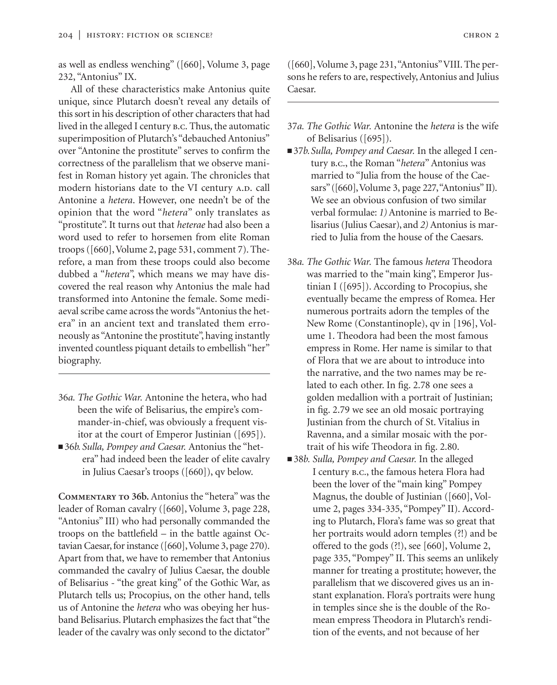as well as endless wenching" ([660], Volume 3, page 232, "Antonius" IX.

All of these characteristics make Antonius quite unique, since Plutarch doesn't reveal any details of this sort in his description of other characters that had lived in the alleged I century b.c. Thus, the automatic superimposition of Plutarch's "debauched Antonius" over "Antonine the prostitute" serves to confirm the correctness of the parallelism that we observe manifest in Roman history yet again. The chronicles that modern historians date to the VI century A.D. call Antonine a *hetera*. However, one needn't be of the opinion that the word "*hetera*" only translates as "prostitute". It turns out that *heterae* had also been a word used to refer to horsemen from elite Roman troops ([660], Volume 2, page 531, comment 7). Therefore, a man from these troops could also become dubbed a "*hetera*", which means we may have discovered the real reason why Antonius the male had transformed into Antonine the female. Some mediaeval scribe came across the words "Antonius the hetera" in an ancient text and translated them erroneously as "Antonine the prostitute", having instantly invented countless piquant details to embellish "her" biography.

- 36*a. The Gothic War.* Antonine the hetera, who had been the wife of Belisarius, the empire's commander-in-chief, was obviously a frequent visitor at the court of Emperor Justinian ([695]).
- 36*b. Sulla, Pompey and Caesar.* Antonius the "hetera" had indeed been the leader of elite cavalry in Julius Caesar's troops ([660]), qv below.

**Commentary to 36b.** Antonius the "hetera" was the leader of Roman cavalry ([660], Volume 3, page 228, "Antonius" III) who had personally commanded the troops on the battlefield – in the battle against Octavian Caesar, for instance ([660], Volume 3, page 270). Apart from that, we have to remember that Antonius commanded the cavalry of Julius Caesar, the double of Belisarius - "the great king" of the Gothic War, as Plutarch tells us; Procopius, on the other hand, tells us of Antonine the *hetera* who was obeying her husband Belisarius. Plutarch emphasizes the fact that "the leader of the cavalry was only second to the dictator"

([660], Volume 3, page 231,"Antonius"VIII. The persons he refers to are, respectively, Antonius and Julius Caesar.

- 37*a. The Gothic War.* Antonine the *hetera* is the wife of Belisarius ([695]).
- 37*b. Sulla, Pompey and Caesar*. In the alleged I century b.c., the Roman "*hetera*" Antonius was married to "Julia from the house of the Caesars" ([660], Volume 3, page 227, "Antonius" II). We see an obvious confusion of two similar verbal formulae: *1)* Antonine is married to Belisarius (Julius Caesar), and *2)* Antonius is married to Julia from the house of the Caesars.
- 38*a. The Gothic War.* The famous *hetera* Theodora was married to the "main king", Emperor Justinian I ([695]). According to Procopius, she eventually became the empress of Romea. Her numerous portraits adorn the temples of the New Rome (Constantinople), qv in [196], Volume 1. Theodora had been the most famous empress in Rome. Her name is similar to that of Flora that we are about to introduce into the narrative, and the two names may be related to each other. In fig. 2.78 one sees a golden medallion with a portrait of Justinian; in fig. 2.79 we see an old mosaic portraying Justinian from the church of St. Vitalius in Ravenna, and a similar mosaic with the portrait of his wife Theodora in fig. 2.80.
- 38*b. Sulla, Pompey and Caesar*. In the alleged I century b.c., the famous hetera Flora had been the lover of the "main king" Pompey Magnus, the double of Justinian ([660], Volume 2, pages 334-335, "Pompey" II). According to Plutarch, Flora's fame was so great that her portraits would adorn temples (?!) and be offered to the gods (?!), see [660], Volume 2, page 335, "Pompey" II. This seems an unlikely manner for treating a prostitute; however, the parallelism that we discovered gives us an instant explanation. Flora's portraits were hung in temples since she is the double of the Romean empress Theodora in Plutarch's rendition of the events, and not because of her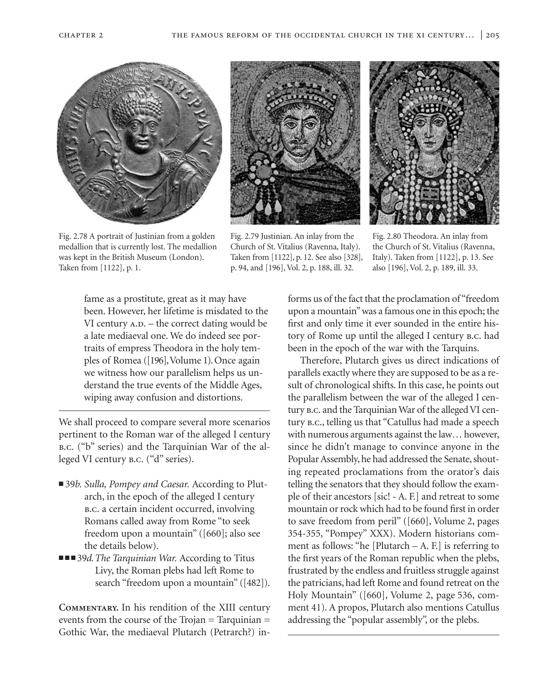



Fig. 2.79 Justinian. An inlay from the Church of St. Vitalius (Ravenna, Italy). Taken from [1122], p. 12. See also [328], p. 94, and [196], Vol. 2, p. 188, ill. 32.



Fig. 2.80 Theodora. An inlay from the Church of St. Vitalius (Ravenna, Italy). Taken from [1122], p. 13. See also [196], Vol. 2, p. 189, ill. 33.

Fig. 2.78 A portrait of Justinian from a golden medallion that is currently lost. The medallion was kept in the British Museum (London). Taken from [1122], p. 1.

> fame as a prostitute, great as it may have been. However, her lifetime is misdated to the VI century  $A.D.$  – the correct dating would be a late mediaeval one. We do indeed see portraits of empress Theodora in the holy temples of Romea ([196],Volume 1). Once again we witness how our parallelism helps us understand the true events of the Middle Ages, wiping away confusion and distortions.

We shall proceed to compare several more scenarios pertinent to the Roman war of the alleged I century b.c. ("b" series) and the Tarquinian War of the alleged VI century b.c. ("d" series).

- 39*b. Sulla, Pompey and Caesar.* According to Plutarch, in the epoch of the alleged I century b.c. a certain incident occurred, involving Romans called away from Rome "to seek freedom upon a mountain" ([660]; also see the details below).
- ■■■ 39*d. The Tarquinian War.* According to Titus Livy, the Roman plebs had left Rome to search "freedom upon a mountain" ([482]).

**Commentary.** In his rendition of the XIII century events from the course of the Trojan = Tarquinian = Gothic War, the mediaeval Plutarch (Petrarch?) informs us of the fact that the proclamation of "freedom upon a mountain"was a famous one in this epoch; the first and only time it ever sounded in the entire history of Rome up until the alleged I century b.c. had been in the epoch of the war with the Tarquins.

Therefore, Plutarch gives us direct indications of parallels exactly where they are supposed to be as a result of chronological shifts. In this case, he points out the parallelism between the war of the alleged I century b.c. and the Tarquinian War of the alleged VI century b.c., telling us that "Catullus had made a speech with numerous arguments against the law… however, since he didn't manage to convince anyone in the Popular Assembly, he had addressed the Senate, shouting repeated proclamations from the orator's dais telling the senators that they should follow the example of their ancestors [sic! - A. F.] and retreat to some mountain or rock which had to be found first in order to save freedom from peril" ([660], Volume 2, pages 354-355, "Pompey" XXX). Modern historians comment as follows: "he [Plutarch  $- A$ . F.] is referring to the first years of the Roman republic when the plebs, frustrated by the endless and fruitless struggle against the patricians, had left Rome and found retreat on the Holy Mountain" ([660], Volume 2, page 536, comment 41). A propos, Plutarch also mentions Catullus addressing the "popular assembly", or the plebs.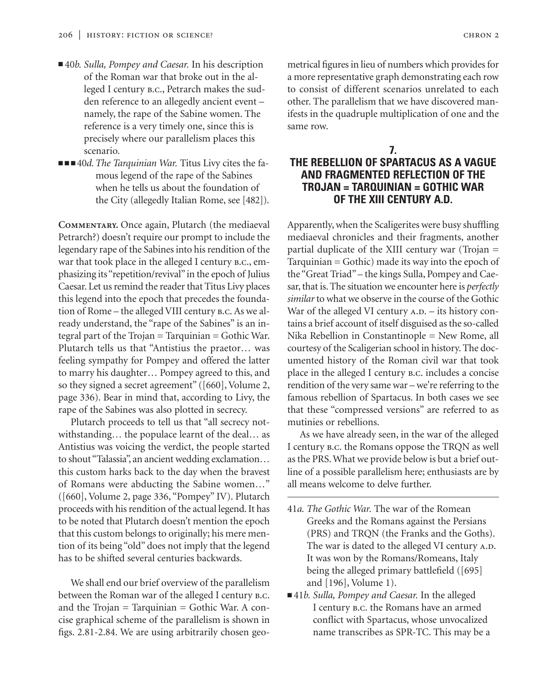- 40*b. Sulla, Pompey and Caesar.* In his description of the Roman war that broke out in the alleged I century b.c., Petrarch makes the sudden reference to an allegedly ancient event – namely, the rape of the Sabine women. The reference is a very timely one, since this is precisely where our parallelism places this scenario.
- ■■■ 40*d. The Tarquinian War*. Titus Livy cites the famous legend of the rape of the Sabines when he tells us about the foundation of the City (allegedly Italian Rome, see [482]).

**Commentary.** Once again, Plutarch (the mediaeval Petrarch?) doesn't require our prompt to include the legendary rape of the Sabines into his rendition of the war that took place in the alleged I century b.c., emphasizing its "repetition/revival" in the epoch of Julius Caesar. Let us remind the reader that Titus Livy places this legend into the epoch that precedes the foundation of Rome – the alleged VIII century b.c. As we already understand, the "rape of the Sabines" is an integral part of the Trojan = Tarquinian = Gothic War. Plutarch tells us that "Antistius the praetor… was feeling sympathy for Pompey and offered the latter to marry his daughter… Pompey agreed to this, and so they signed a secret agreement" ([660], Volume 2, page 336). Bear in mind that, according to Livy, the rape of the Sabines was also plotted in secrecy.

Plutarch proceeds to tell us that "all secrecy notwithstanding… the populace learnt of the deal… as Antistius was voicing the verdict, the people started to shout "Talassia", an ancient wedding exclamation… this custom harks back to the day when the bravest of Romans were abducting the Sabine women…" ([660], Volume 2, page 336, "Pompey" IV). Plutarch proceeds with his rendition of the actual legend. It has to be noted that Plutarch doesn't mention the epoch that this custom belongs to originally; his mere mention of its being "old" does not imply that the legend has to be shifted several centuries backwards.

We shall end our brief overview of the parallelism between the Roman war of the alleged I century B.C. and the Trojan  $=$  Tarquinian  $=$  Gothic War. A concise graphical scheme of the parallelism is shown in figs. 2.81-2.84. We are using arbitrarily chosen geometrical figures in lieu of numbers which provides for a more representative graph demonstrating each row to consist of different scenarios unrelated to each other. The parallelism that we have discovered manifests in the quadruple multiplication of one and the same row.

## **7. THE REBELLION OF SPARTACUS AS A VAGUE AND FRAGMENTED REFLECTION OF THE TROJAN = TARQUINIAN = GOTHIC WAR OF THE XIII CENTURY A.D.**

Apparently, when the Scaligerites were busy shuffling mediaeval chronicles and their fragments, another partial duplicate of the XIII century war (Trojan = Tarquinian = Gothic) made its way into the epoch of the "Great Triad" – the kings Sulla, Pompey and Caesar, that is. The situation we encounter here is *perfectly similar* to what we observe in the course of the Gothic War of the alleged VI century  $A.D. - its history con$ tains a brief account of itself disguised as the so-called Nika Rebellion in Constantinople = New Rome, all courtesy of the Scaligerian school in history. The documented history of the Roman civil war that took place in the alleged I century b.c. includes a concise rendition of the very same war – we're referring to the famous rebellion of Spartacus. In both cases we see that these "compressed versions" are referred to as mutinies or rebellions.

As we have already seen, in the war of the alleged I century b.c. the Romans oppose the TRQN as well as the PRS. What we provide below is but a brief outline of a possible parallelism here; enthusiasts are by all means welcome to delve further.

- 41*a. The Gothic War.* The war of the Romean Greeks and the Romans against the Persians (PRS) and TRQN (the Franks and the Goths). The war is dated to the alleged VI century A.D. It was won by the Romans/Romeans, Italy being the alleged primary battlefield ([695] and [196], Volume 1).
- 41*b. Sulla, Pompey and Caesar*. In the alleged I century b.c. the Romans have an armed conflict with Spartacus, whose unvocalized name transcribes as SPR-TC. This may be a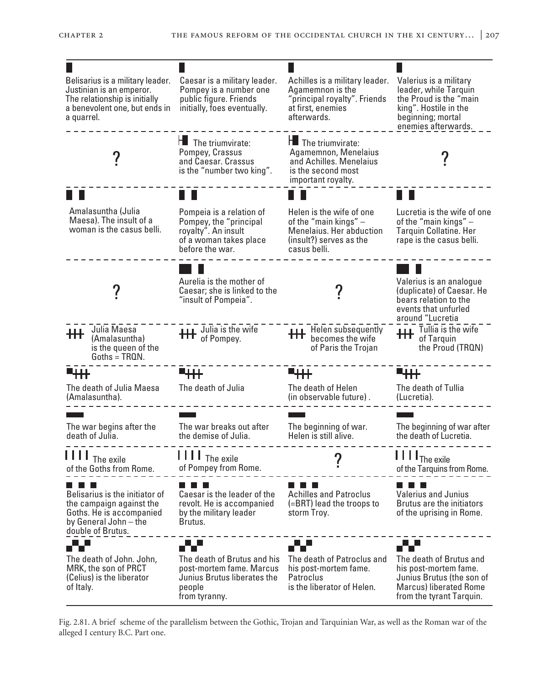| Belisarius is a military leader.<br>Justinian is an emperor.<br>The relationship is initially<br>a benevolent one, but ends in<br>a quarrel. | Caesar is a military leader.<br>Pompey is a number one<br>public figure. Friends<br>initially, foes eventually.        | Achilles is a military leader.<br>Agamemnon is the<br>"principal royalty". Friends<br>at first, enemies<br>afterwards.   | Valerius is a military<br>leader, while Tarquin<br>the Proud is the "main<br>king". Hostile in the<br>beginning; mortal<br>enemies afterwards.            |
|----------------------------------------------------------------------------------------------------------------------------------------------|------------------------------------------------------------------------------------------------------------------------|--------------------------------------------------------------------------------------------------------------------------|-----------------------------------------------------------------------------------------------------------------------------------------------------------|
|                                                                                                                                              | $H$ The triumvirate:<br>Pompey, Crassus<br>and Caesar. Crassus<br>is the "number two king".                            | $H$ The triumvirate:<br>Agamemnon, Menelaius<br>and Achilles, Menelaius<br>is the second most<br>important royalty.      |                                                                                                                                                           |
|                                                                                                                                              |                                                                                                                        |                                                                                                                          |                                                                                                                                                           |
| Amalasuntha (Julia<br>Maesa). The insult of a<br>woman is the casus belli.                                                                   | Pompeia is a relation of<br>Pompey, the "principal<br>royalty". An insult<br>of a woman takes place<br>before the war. | Helen is the wife of one<br>of the "main kings" -<br>Menelaius. Her abduction<br>(insult?) serves as the<br>casus belli. | Lucretia is the wife of one<br>of the "main kings" $-$<br>Tarquin Collatine. Her<br>rape is the casus belli.                                              |
|                                                                                                                                              | Aurelia is the mother of<br>Caesar; she is linked to the<br>"insult of Pompeia".                                       |                                                                                                                          | Valerius is an analogue<br>(duplicate) of Caesar. He<br>bears relation to the<br>events that unfurled<br>around "Lucretia                                 |
| Julia Maesa<br>(Amalasuntha)<br>is the queen of the<br>$Goths = TRQN$ .                                                                      | <b>THE</b> Julia is the wife                                                                                           | <b>HH</b> Helen subsequently<br>becomes the wife<br>of Paris the Trojan                                                  | <b>The Tullia is the wife</b><br><b>THE</b> of Tarquin<br>the Proud (TRQN)                                                                                |
| ╹┼┼┼                                                                                                                                         | ┺╈╈╈                                                                                                                   | ┻┿┿╋                                                                                                                     | ┖┼┼╀                                                                                                                                                      |
| The death of Julia Maesa<br>(Amalasuntha).                                                                                                   | The death of Julia                                                                                                     | The death of Helen<br>(in observable future).                                                                            | The death of Tullia<br>(Lucretia).                                                                                                                        |
| The war begins after the<br>death of Julia.                                                                                                  | The war breaks out after<br>the demise of Julia.                                                                       | The beginning of war.<br>Helen is still alive.                                                                           | The beginning of war after<br>the death of Lucretia.                                                                                                      |
| The exile<br>of the Goths from Rome.                                                                                                         | $\prod$ $\prod$ $\prod$ <sub>The exile</sub><br>of Pompey from Rome.                                                   |                                                                                                                          | $\prod \prod_{\text{The exile}}$<br>of the Tarquins from Rome.                                                                                            |
| Belisarius is the initiator of<br>the campaign against the<br>Goths. He is accompanied<br>by General John - the<br>double of Brutus.         | Caesar is the leader of the<br>revolt. He is accompanied<br>by the military leader<br>Brutus.                          | <b>Achilles and Patroclus</b><br>(=BRT) lead the troops to<br>storm Troy.                                                | <b>Valerius and Junius</b><br><b>Brutus are the initiators</b><br>of the uprising in Rome.                                                                |
| <b>THE REAL</b><br>The death of John. John,<br>MRK, the son of PRCT<br>(Celius) is the liberator<br>of Italy.                                | .<br>The death of Brutus and his<br>post-mortem fame. Marcus<br>Junius Brutus liberates the<br>people<br>from tyranny. | The death of Patroclus and<br>his post-mortem fame.<br>Patroclus<br>is the liberator of Helen.                           | a katika s<br>The death of Brutus and<br>his post-mortem fame.<br>Junius Brutus (the son of<br><b>Marcus</b> ) liberated Rome<br>from the tyrant Tarquin. |

Fig. 2.81. A brief scheme of the parallelism between the Gothic, Trojan and Tarquinian War, as well as the Roman war of the alleged I century B.C. Part one.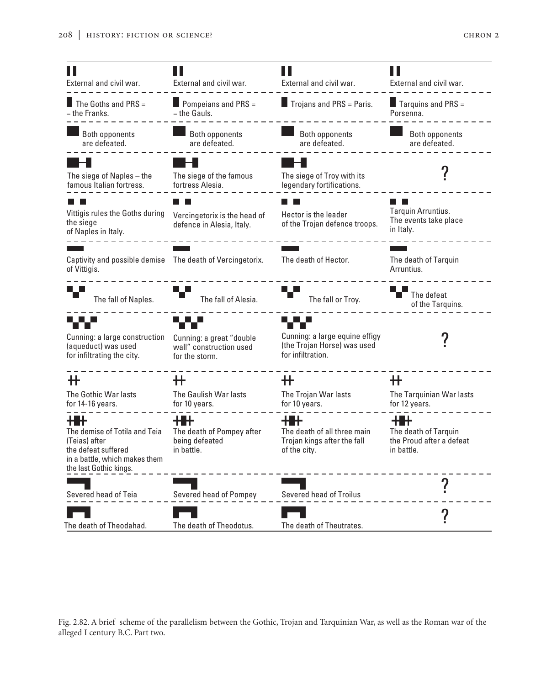

Fig. 2.82. A brief scheme of the parallelism between the Gothic, Trojan and Tarquinian War, as well as the Roman war of the alleged I century B.C. Part two.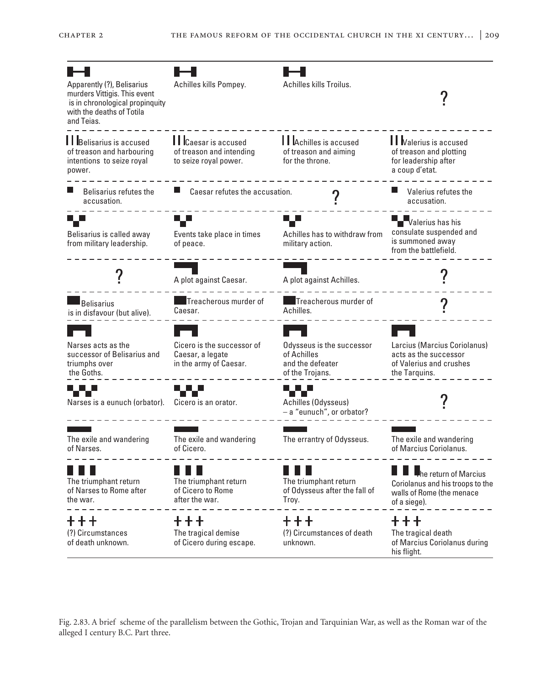

Fig. 2.83. A brief scheme of the parallelism between the Gothic, Trojan and Tarquinian War, as well as the Roman war of the alleged I century B.C. Part three.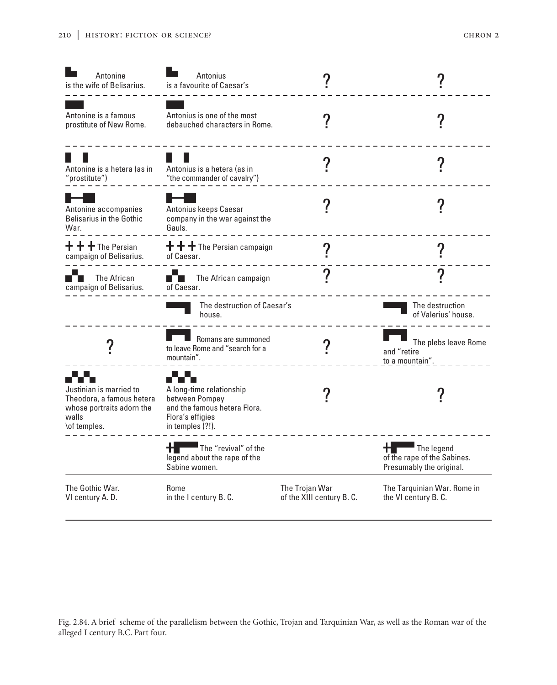| Antonine<br>is the wife of Belisarius.                                                                     | Antonius<br>is a favourite of Caesar's                                                                             |                                            |                                                                            |
|------------------------------------------------------------------------------------------------------------|--------------------------------------------------------------------------------------------------------------------|--------------------------------------------|----------------------------------------------------------------------------|
| Antonine is a famous<br>prostitute of New Rome.                                                            | Antonius is one of the most<br>debauched characters in Rome.                                                       |                                            |                                                                            |
| Antonine is a hetera (as in<br>'prostitute")                                                               | Antonius is a hetera (as in<br>"the commander of cavalry")                                                         |                                            |                                                                            |
| Antonine accompanies<br><b>Belisarius in the Gothic</b><br>War.                                            | Antonius keeps Caesar<br>company in the war against the<br>Gauls.                                                  |                                            |                                                                            |
| $\bm{{\mathsf{+}}}$ $\bm{{\mathsf{+}}}$ $\bm{{\mathsf{+}}}$ The Persian $\,$<br>campaign of Belisarius.    | $+$ + $+$ The Persian campaign<br>of Caesar.                                                                       |                                            |                                                                            |
| The African<br>campaign of Belisarius.                                                                     | The African campaign<br>of Caesar.                                                                                 |                                            |                                                                            |
|                                                                                                            | The destruction of Caesar's<br>house.                                                                              |                                            | The destruction<br>of Valerius' house.                                     |
|                                                                                                            | Romans are summoned<br>to leave Rome and "search for a<br>mountain".                                               |                                            | The plebs leave Rome<br>and "retire<br>to_a_mountain".                     |
| Justinian is married to<br>Theodora, a famous hetera<br>whose portraits adorn the<br>walls<br>\of temples. | A long-time relationship<br>between Pompey<br>and the famous hetera Flora.<br>Flora's effigies<br>in temples (?!). |                                            |                                                                            |
|                                                                                                            | The "revival" of the<br>legend about the rape of the<br>Sabine women.                                              |                                            | The legend<br>Ħ<br>of the rape of the Sabines.<br>Presumably the original. |
| The Gothic War.<br>VI century A. D.                                                                        | Rome<br>in the I century B.C.                                                                                      | The Trojan War<br>of the XIII century B.C. | The Tarquinian War. Rome in<br>the VI century B. C.                        |

Fig. 2.84. A brief scheme of the parallelism between the Gothic, Trojan and Tarquinian War, as well as the Roman war of the alleged I century B.C. Part four.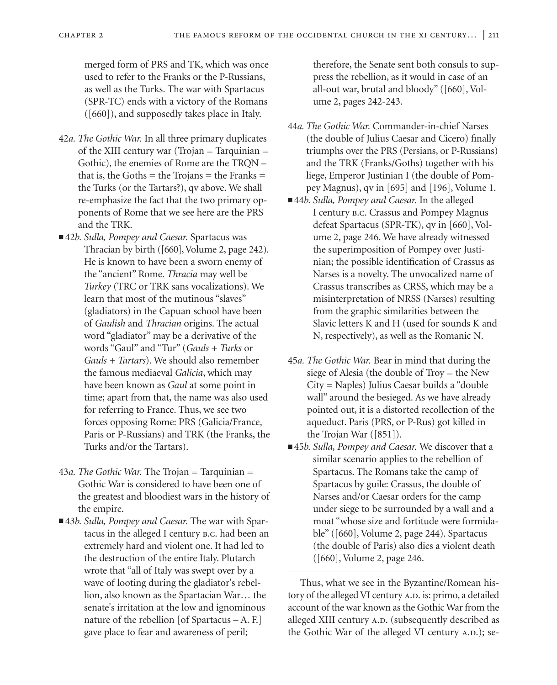merged form of PRS and TK, which was once used to refer to the Franks or the P-Russians, as well as the Turks. The war with Spartacus (SPR-TC) ends with a victory of the Romans ([660]), and supposedly takes place in Italy.

- 42*a. The Gothic War.* In all three primary duplicates of the XIII century war (Trojan = Tarquinian = Gothic), the enemies of Rome are the TRQN – that is, the Goths  $=$  the Trojans  $=$  the Franks  $=$ the Turks (or the Tartars?), qv above. We shall re-emphasize the fact that the two primary opponents of Rome that we see here are the PRS and the TRK.
- 42*b. Sulla, Pompey and Caesar*. Spartacus was Thracian by birth ([660], Volume 2, page 242). He is known to have been a sworn enemy of the "ancient" Rome. *Thracia* may well be *Turkey* (TRC or TRK sans vocalizations). We learn that most of the mutinous "slaves" (gladiators) in the Capuan school have been of *Gaulish* and *Thracian* origins. The actual word "gladiator" may be a derivative of the words "Gaul" and "Tur" (*Gauls + Turks* or *Gauls + Tartars*). We should also remember the famous mediaeval *Galicia*, which may have been known as *Gaul* at some point in time; apart from that, the name was also used for referring to France. Thus, we see two forces opposing Rome: PRS (Galicia/France, Paris or P-Russians) and TRK (the Franks, the Turks and/or the Tartars).
- 43*a. The Gothic War.* The Trojan = Tarquinian = Gothic War is considered to have been one of the greatest and bloodiest wars in the history of the empire.
- 43*b. Sulla, Pompey and Caesar.* The war with Spartacus in the alleged I century B.C. had been an extremely hard and violent one. It had led to the destruction of the entire Italy. Plutarch wrote that "all of Italy was swept over by a wave of looting during the gladiator's rebellion, also known as the Spartacian War… the senate's irritation at the low and ignominous nature of the rebellion [of Spartacus – A. F.] gave place to fear and awareness of peril;

therefore, the Senate sent both consuls to suppress the rebellion, as it would in case of an all-out war, brutal and bloody" ([660], Volume 2, pages 242-243.

- 44*a. The Gothic War.* Commander-in-chief Narses (the double of Julius Caesar and Cicero) finally triumphs over the PRS (Persians, or P-Russians) and the TRK (Franks/Goths) together with his liege, Emperor Justinian I (the double of Pompey Magnus), qv in [695] and [196], Volume 1.
- 44*b. Sulla, Pompey and Caesar*. In the alleged I century b.c. Crassus and Pompey Magnus defeat Spartacus (SPR-TK), qv in [660], Volume 2, page 246. We have already witnessed the superimposition of Pompey over Justinian; the possible identification of Crassus as Narses is a novelty. The unvocalized name of Crassus transcribes as CRSS, which may be a misinterpretation of NRSS (Narses) resulting from the graphic similarities between the Slavic letters K and H (used for sounds K and N, respectively), as well as the Romanic N.
- 45*a. The Gothic War.* Bear in mind that during the siege of Alesia (the double of Troy = the New City = Naples) Julius Caesar builds a "double wall" around the besieged. As we have already pointed out, it is a distorted recollection of the aqueduct. Paris (PRS, or P-Rus) got killed in the Trojan War ([851]).
- 45*b. Sulla, Pompey and Caesar*. We discover that a similar scenario applies to the rebellion of Spartacus. The Romans take the camp of Spartacus by guile: Crassus, the double of Narses and/or Caesar orders for the camp under siege to be surrounded by a wall and a moat "whose size and fortitude were formidable" ([660], Volume 2, page 244). Spartacus (the double of Paris) also dies a violent death ([660], Volume 2, page 246.

Thus, what we see in the Byzantine/Romean history of the alleged VI century A.D. is: primo, a detailed account of the war known as the Gothic War from the alleged XIII century A.D. (subsequently described as the Gothic War of the alleged VI century A.D.); se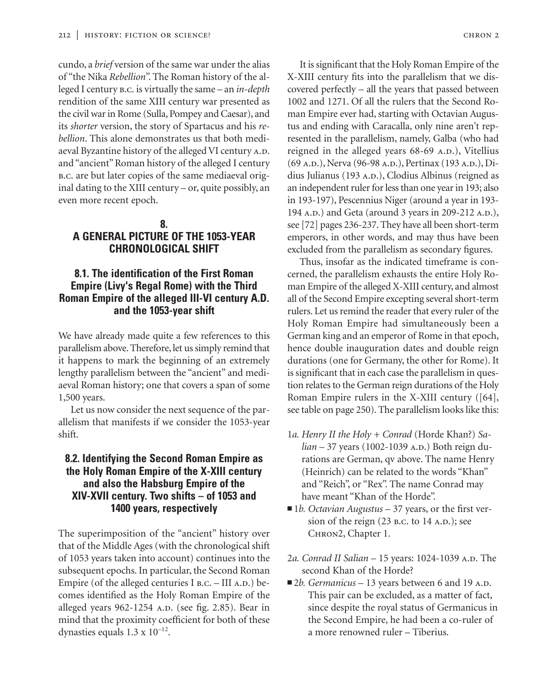cundo, a *brief* version of the same war under the alias of "the Nika *Rebellion*". The Roman history of the alleged I century b.c. is virtually the same – an *in-depth* rendition of the same XIII century war presented as the civil war in Rome (Sulla, Pompey and Caesar), and its *shorter* version, the story of Spartacus and his *rebellion*. This alone demonstrates us that both mediaeval Byzantine history of the alleged VI century A.D. and "ancient" Roman history of the alleged I century b.c. are but later copies of the same mediaeval original dating to the XIII century – or, quite possibly, an even more recent epoch.

## **8. A GENERAL PICTURE OF THE 1053-YEAR CHRONOLOGICAL SHIFT**

## **8.1. The identification of the First Roman Empire (Livy's Regal Rome) with the Third Roman Empire of the alleged III-VI century A.D. and the 1053-year shift**

We have already made quite a few references to this parallelism above. Therefore, let us simply remind that it happens to mark the beginning of an extremely lengthy parallelism between the "ancient" and mediaeval Roman history; one that covers a span of some 1,500 years.

Let us now consider the next sequence of the parallelism that manifests if we consider the 1053-year shift.

## **8.2. Identifying the Second Roman Empire as the Holy Roman Empire of the X-XIII century and also the Habsburg Empire of the XIV-XVII century. Two shifts – of 1053 and 1400 years, respectively**

The superimposition of the "ancient" history over that of the Middle Ages (with the chronological shift of 1053 years taken into account) continues into the subsequent epochs. In particular, the Second Roman Empire (of the alleged centuries  $I_{B.C.} - III_{A.D.}$ ) becomes identified as the Holy Roman Empire of the alleged years  $962-1254$  A.D. (see fig. 2.85). Bear in mind that the proximity coefficient for both of these dynasties equals  $1.3 \times 10^{-12}$ .

It is significant that the Holy Roman Empire of the X-XIII century fits into the parallelism that we discovered perfectly – all the years that passed between 1002 and 1271. Of all the rulers that the Second Roman Empire ever had, starting with Octavian Augustus and ending with Caracalla, only nine aren't represented in the parallelism, namely, Galba (who had reigned in the alleged years 68-69 A.D.), Vitellius (69 A.D.), Nerva (96-98 A.D.), Pertinax (193 A.D.), Didius Julianus (193 A.D.), Clodius Albinus (reigned as an independent ruler for less than one year in 193; also in 193-197), Pescennius Niger (around a year in 193- 194 A.D.) and Geta (around 3 years in 209-212 A.D.), see [72] pages 236-237. They have all been short-term emperors, in other words, and may thus have been excluded from the parallelism as secondary figures.

Thus, insofar as the indicated timeframe is concerned, the parallelism exhausts the entire Holy Roman Empire of the alleged X-XIII century, and almost all of the Second Empire excepting several short-term rulers. Let us remind the reader that every ruler of the Holy Roman Empire had simultaneously been a German king and an emperor of Rome in that epoch, hence double inauguration dates and double reign durations (one for Germany, the other for Rome). It is significant that in each case the parallelism in question relates to the German reign durations of the Holy Roman Empire rulers in the X-XIII century ([64], see table on page 250). The parallelism looks like this:

- 1*a. Henry II the Holy + Conrad* (Horde Khan?) *Salian* – 37 years (1002-1039 A.D.) Both reign durations are German, qv above. The name Henry (Heinrich) can be related to the words "Khan" and "Reich", or "Rex". The name Conrad may have meant "Khan of the Horde".
- 1*b. Octavian Augustus* 37 years, or the first version of the reign  $(23 B.C. to 14 A.D.);$  see CHRON2, Chapter 1.
- 2*a. Conrad II Salian* 15 years: 1024-1039 A.D. The second Khan of the Horde?
- 2*b. Germanicus* 13 years between 6 and 19 A.D. This pair can be excluded, as a matter of fact, since despite the royal status of Germanicus in the Second Empire, he had been a co-ruler of a more renowned ruler – Tiberius.